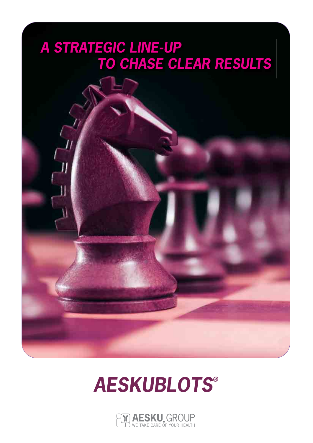# *A STRATEGIC LINE-UP TO CHASE CLEAR RESULTS*



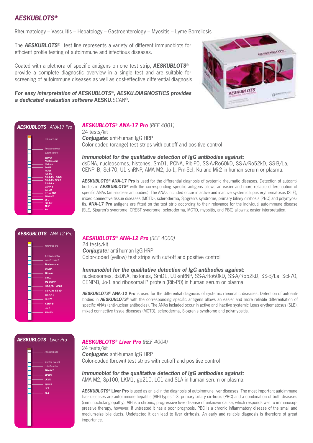## *AESKUBLOTS®*

Rheumatology – Vasculitis – Hepatology – Gastroenterology – Myositis – Lyme Borreliosis

The **AESKUBLOTS**<sup>®</sup> test line represents a variety of different immunoblots for efficient profile testing of autoimmune and infectious diseases.

Coated with a plethora of specific antigens on one test strip, *AESKUBLOTS*® provide a complete diagnostic overview in a single test and are suitable for r screening of autoimmune diseases as well as cost-effective differential diagnosis.

*For easy interpretation of AESKUBLOTS*®*, AESKU.DIAGNOSTICS provides s a dedicated evaluation software* **AESKU.**SCAN®*.*



## *AESKUBLOTS ANA-17 Pro*

|  | reference line                |
|--|-------------------------------|
|  | function control              |
|  | cut-off control               |
|  | dsDNA<br><b>Nucleosome</b>    |
|  | <b>Histone</b>                |
|  | SmD1<br><b>PCNA</b>           |
|  | Rib-PO                        |
|  | SS-A/Ro 60kD<br>SS-A/Ro 52 kD |
|  | $SS-B/La$<br><b>CENP-B</b>    |
|  | <b>ScI-70</b>                 |
|  | <b>U1-sn RNP</b><br>AMA M2    |
|  | $Jo-1$                        |
|  | <b>PM-Scl</b><br>$Mi-2$       |
|  | Ku                            |
|  |                               |

#### *AESKUBLOTS*® *ANA-17 Pro (REF 4001)*  24 tests/kit *Conjugate:* anti-human IgG HRP Color-coded (orange) test strips with cut-off and positive control

*Immunoblot for the qualitative detection of IgG antibodies against:* dsDNA, nucleosomes, histones, SmD1, PCNA, Rib-P0, SS-A/Ro60kD, SS-A/Ro52kD, SS-B/La, CENP -B, Scl-70, U1 snRNP, AMA M2, Jo-1, Pm-Scl, Ku and Mi-2 in human serum or plasma.

*AESKUBLOTS®* **ANA-17 Pro** is used for the differential diagnosis of systemic rheumatic diseases. Detection of autoantibodies in *AESKUBLOTS®* with the corresponding specific antigens allows an easier and more reliable differentiation of specific ANAs (anti-nuclear antibodies). The ANAs included occur in active and inactive systemic lupus erythematosus (SLE), mixed connective tissue diseases (MCTD), scleroderma, Sjogren's syndrome, primary biliary cirrhosis (PBC) and polymyositis. **ANA-17 Pro** antigens are fitted on the test strip according to their relevance for the individual autoimmune disease (SLE, Sjogren's syndrome, CREST syndrome, scleroderma, MCTD, myositis, and PBC) allowing easier interpretation.

## *AESKUBLOTS ANA-12 Pro*

|  | reference line    |
|--|-------------------|
|  | function control  |
|  | cut-off control   |
|  | <b>Nucleosome</b> |
|  | dsDNA             |
|  | <b>Histone</b>    |
|  | SmD1              |
|  | U1-snRNP          |
|  | SS-A/Ro 60kD      |
|  | SS-A/Ro 52 kD     |
|  |                   |
|  | $SS-B/La$         |
|  | <b>Scl-70</b>     |
|  | <b>CENP-B</b>     |
|  | $Jo-1$            |
|  | Rib-PO            |
|  |                   |

## *AESKUBLOTS*® *ANA-12 Pro (REF 4000)*

24 tests/kit *Conjugate:* anti-human IgG HRP Color-coded (yellow) test strips with cut-off and positive control

#### *Immunoblot for the qualitative detection of IgG antibodies against:*

nucleosomes, dsDNA, histones, SmD1, U1-snRNP, SS-A/Ro60kD, SS-A/Ro52kD, SS-B/La, Scl-70, CENP-B, Jo-1 and ribosomal P protein (Rib-P0) in human serum or plasma.

*AESKUBLOTS®* **ANA-12 Pro** is used for the differential diagnosis of systemic rheumatic diseases. Detection of autoantibodies in *AESKUBLOTS®* with the corresponding specific antigens allows an easier and more reliable differentiation of specific ANAs (anti-nuclear antibodies). The ANAs included occur in active and inactive systemic lupus erythematosus (SLE), mixed connective tissue diseases (MCTD), scleroderma, Sjogren's syndrome and polymyositis.

#### *AESKUBLOTS Liver Pro*

|  | reference line                                                                               |
|--|----------------------------------------------------------------------------------------------|
|  | function control<br>cut-off control<br>AMA M2<br>SP100<br>LKM1<br>Gp210<br>LC1<br><b>SLA</b> |
|  |                                                                                              |

## *AESKUBLOTS*® *Liver Pro (REF 4004)*

24 tests/kit *Conjugate:* anti-human IgG HRP Color-coded (brown) test strips with cut-off and positive control

*Immunoblot for the qualitative detection of IgG antibodies against:* AMA M2, Sp100, LKM1, gp210, LC1 and SLA in human serum or plasma.

*AESKUBLOTS®* **Liver Pro** is used as an aid in the diagnosis of autoimmune liver diseases. The most important autoimmune liver diseases are autoimmune hepatitis (AIH) types 1-3, primary biliary cirrhosis (PBC) and a combination of both diseases (immunocholangiopathy). AIH is a chronic, progressive liver disease of unknown cause, which responds well to immunosuppressive therapy, however, if untreated it has a poor prognosis. PBC is a chronic inflammatory disease of the small and medium-size bile ducts. Undetected it can lead to liver cirrhosis. An early and reliable diagnosis is therefore of great importance.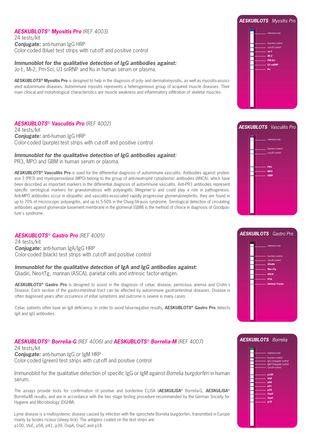## *AESKUBLOTS*® *Myositis Pro (REF 4003)*

24 tests/kit *Conjugate:* anti-human IgG HRP Color-coded (blue) test strips with cut-off and positive control

## *Immunoblot for the qualitative detection of IgG antibodies against:*

Jo-1, Mi-2, Pm-Scl, U1-snRNP and Ku in human serum or plasma.

*AESKUBLOTS®* **Myositis Pro** is designed to help in the diagnosis of poly- and dermatomyositis, as well as myositis-associated autoimmune diseases. Autoimmune myositis represents a heterogeneous group of acquired muscle diseases. Their main clinical and morphological characteristics are muscle weakness and inflammatory infiltration of skeletal muscles.

## *AESKUBLOTS*® *Vasculitis Pro (REF 4002)*

24 tests/kit *Conjugate:* anti-human IgG HRP Color-coded (purple) test strips with cut-off and positive control

#### *Immunoblot for the qualitative detection of IgG antibodies against:*

PR3, MPO and GBM in human serum or plasma.

*AESKUBLOTS®* **Vasculitis Pro** is used for the differential diagnosis of autoimmune vasculitis. Antibodies against proteinase 3 (PR3) and myeloperoxidase (MPO) belong to the group of anti-neutrophil cytoplasmic antibodies (ANCA), which have been described as important markers in the differential diagnosis of autoimmune vasculitis. Anti-PR3 antibodies represent specific serological markers for granulomatosis with polyangiitis (Wegener's) and could play a role in pathogenesis. Anti-MPO antibodies occur in idiopathic and vasculitis-associated rapidly progressive glomerulonephritis, they are found in up to 70% of microscopic polyangiitis, and up to 5-50% in the Churg-Strauss syndrome. Serological detection of circulating antibodies against glomerular basement membrane in the glomeruli (GBM) is the method of choice in diagnosis of Goodpasture's syndrome.

## *AESKUBLOTS*® *Gastro Pro (REF 4005)*

24 tests/kit *Conjugate:* anti-human IgA/IgG HRP Color-coded (black) test strips with cut-off and positive control

*Immunoblot for the qualitative detection of IgA and IgG antibodies against:* Gliadin, Neo-tTg, mannan (ASCA), parietal cells and intrinsic factor-antigen.

*AESKUBLOTS®* **Gastro Pro** is designed to assist in the diagnosis of celiac disease, pernicious anemia and Crohn´s Disease. Each section of the gastro-intestinal tract can be affected by autoimmune gastrointestinal diseases. Disease is often diagnosed years after occurence of initial symptoms and outcome is severe in many cases.

Celiac patients often have an IgA deficiency. In order to avoid false-negative results, *AESKUBLOTS®* **Gastro Pro** detects IgA and IgG antibodies.

## *AESKUBLOTS*® *Borrelia-G (REF 4006) and AESKUBLOTS*® *Borrelia-M (REF 4007)*

24 tests/kit *Conjugate:* anti-human IgG or IgM HRP Color-coded (green) test strips with cut-off and positive control

Immunoblot for the qualitative detection of specific IgG or IgM against *Borrelia burgdorferi* in human serum.

The assays provide tools for confirmation of positive and borderline ELISA (*AESKULISA*® Borrelia-G, *AESKULISA*® Borrelia-M) results, and are in accordance with the two stage testing procedure recommended by the German Society for Hygiene and Microbiology (DGHM).

Lyme disease is a multisystemic disease caused by infection with the spirochete Borrelia burgdorferi, transmitted in Europe mainly by Ixodes ricinus (sheep tick). The antigens coated on the test strips are: p100, VlsE, p58, p41, p39, OspA, OspC and p18.







## *AESKUBLOTS Borrelia*